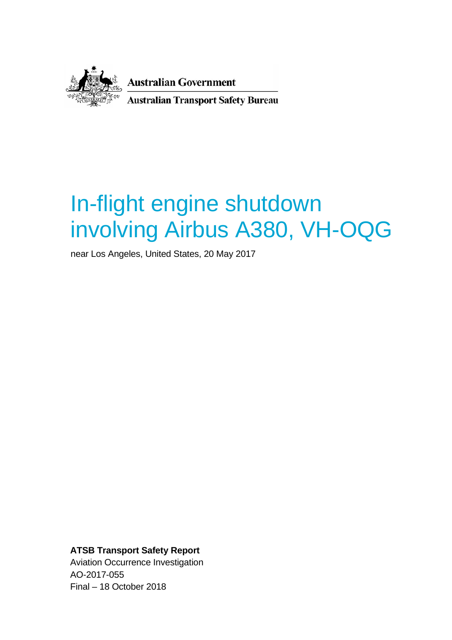

**Australian Government Australian Transport Safety Bureau** 

# In-flight engine shutdown involving Airbus A380, VH-OQG

near Los Angeles, United States, 20 May 2017

**ATSB Transport Safety Report** Aviation Occurrence Investigation AO-2017-055 Final – 18 October 2018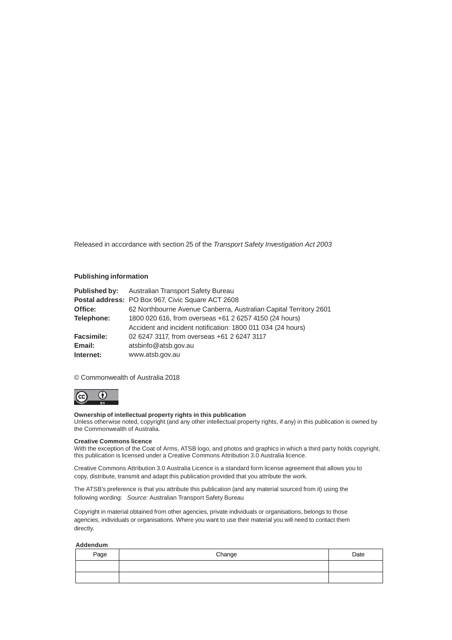Released in accordance with section 25 of the *Transport Safety Investigation Act 2003*

#### **Publishing information**

|                   | Published by: Australian Transport Safety Bureau                  |  |
|-------------------|-------------------------------------------------------------------|--|
|                   | Postal address: PO Box 967, Civic Square ACT 2608                 |  |
| Office:           | 62 Northbourne Avenue Canberra, Australian Capital Territory 2601 |  |
| Telephone:        | 1800 020 616, from overseas +61 2 6257 4150 (24 hours)            |  |
|                   | Accident and incident notification: 1800 011 034 (24 hours)       |  |
| <b>Facsimile:</b> | 02 6247 3117, from overseas +61 2 6247 3117                       |  |
| Email:            | atsbinfo@atsb.gov.au                                              |  |
| Internet:         | www.atsb.gov.au                                                   |  |

#### © Commonwealth of Australia 2018



#### **Ownership of intellectual property rights in this publication**

Unless otherwise noted, copyright (and any other intellectual property rights, if any) in this publication is owned by the Commonwealth of Australia.

#### **Creative Commons licence**

With the exception of the Coat of Arms, ATSB logo, and photos and graphics in which a third party holds copyright, this publication is licensed under a Creative Commons Attribution 3.0 Australia licence.

Creative Commons Attribution 3.0 Australia Licence is a standard form license agreement that allows you to copy, distribute, transmit and adapt this publication provided that you attribute the work.

The ATSB's preference is that you attribute this publication (and any material sourced from it) using the following wording: *Source:* Australian Transport Safety Bureau

Copyright in material obtained from other agencies, private individuals or organisations, belongs to those agencies, individuals or organisations. Where you want to use their material you will need to contact them directly.

#### **Addendum**

| Page | Change | Date |
|------|--------|------|
|      |        |      |
|      |        |      |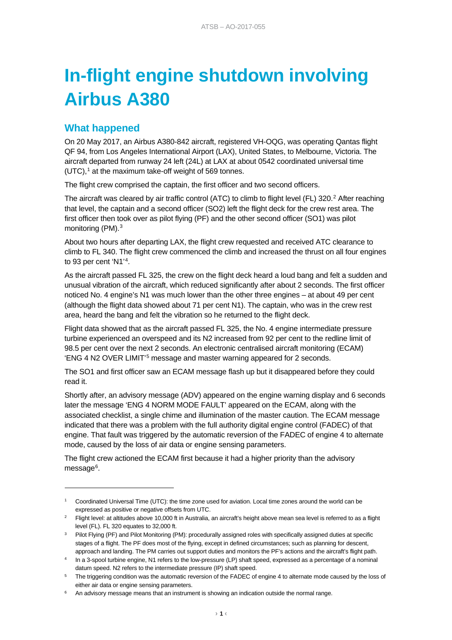# **In-flight engine shutdown involving Airbus A380**

# **What happened**

-

On 20 May 2017, an Airbus A380-842 aircraft, registered VH-OQG, was operating Qantas flight QF 94, from Los Angeles International Airport (LAX), United States, to Melbourne, Victoria. The aircraft departed from runway 24 left (24L) at LAX at about 0542 coordinated universal time (UTC), [1](#page-2-0) at the maximum take-off weight of 569 tonnes.

The flight crew comprised the captain, the first officer and two second officers.

The aircraft was cleared by air traffic control (ATC) to climb to flight level (FL) 3[2](#page-2-1)0.<sup>2</sup> After reaching that level, the captain and a second officer (SO2) left the flight deck for the crew rest area. The first officer then took over as pilot flying (PF) and the other second officer (SO1) was pilot monitoring (PM).[3](#page-2-2)

About two hours after departing LAX, the flight crew requested and received ATC clearance to climb to FL 340. The flight crew commenced the climb and increased the thrust on all four engines to 93 per cent 'N1'<sup>[4](#page-2-3)</sup>.

As the aircraft passed FL 325, the crew on the flight deck heard a loud bang and felt a sudden and unusual vibration of the aircraft, which reduced significantly after about 2 seconds. The first officer noticed No. 4 engine's N1 was much lower than the other three engines – at about 49 per cent (although the flight data showed about 71 per cent N1). The captain, who was in the crew rest area, heard the bang and felt the vibration so he returned to the flight deck.

Flight data showed that as the aircraft passed FL 325, the No. 4 engine intermediate pressure turbine experienced an overspeed and its N2 increased from 92 per cent to the redline limit of 98.5 per cent over the next 2 seconds. An electronic centralised aircraft monitoring (ECAM) 'ENG 4 N2 OVER LIMIT'[5](#page-2-4) message and master warning appeared for 2 seconds.

The SO1 and first officer saw an ECAM message flash up but it disappeared before they could read it.

Shortly after, an advisory message (ADV) appeared on the engine warning display and 6 seconds later the message 'ENG 4 NORM MODE FAULT' appeared on the ECAM, along with the associated checklist, a single chime and illumination of the master caution. The ECAM message indicated that there was a problem with the full authority digital engine control (FADEC) of that engine. That fault was triggered by the automatic reversion of the FADEC of engine 4 to alternate mode, caused by the loss of air data or engine sensing parameters.

The flight crew actioned the ECAM first because it had a higher priority than the advisory message<sup>6</sup>.

<span id="page-2-0"></span><sup>1</sup> Coordinated Universal Time (UTC): the time zone used for aviation. Local time zones around the world can be expressed as positive or negative offsets from UTC.

<span id="page-2-1"></span><sup>&</sup>lt;sup>2</sup> Flight level: at altitudes above 10,000 ft in Australia, an aircraft's height above mean sea level is referred to as a flight level (FL). FL 320 equates to 32,000 ft.

<span id="page-2-2"></span><sup>&</sup>lt;sup>3</sup> Pilot Flying (PF) and Pilot Monitoring (PM): procedurally assigned roles with specifically assigned duties at specific stages of a flight. The PF does most of the flying, except in defined circumstances; such as planning for descent, approach and landing. The PM carries out support duties and monitors the PF's actions and the aircraft's flight path.

<span id="page-2-3"></span><sup>4</sup> In a 3-spool turbine engine, N1 refers to the low-pressure (LP) shaft speed, expressed as a percentage of a nominal datum speed. N2 refers to the intermediate pressure (IP) shaft speed.

<span id="page-2-4"></span><sup>&</sup>lt;sup>5</sup> The triggering condition was the automatic reversion of the FADEC of engine 4 to alternate mode caused by the loss of either air data or engine sensing parameters.

<span id="page-2-5"></span>An advisory message means that an instrument is showing an indication outside the normal range.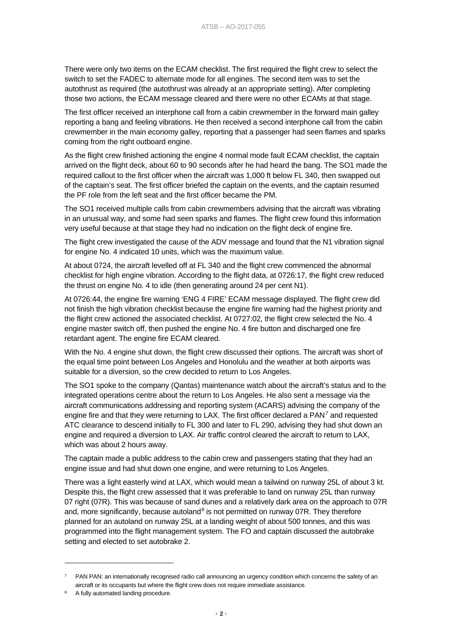There were only two items on the ECAM checklist. The first required the flight crew to select the switch to set the FADEC to alternate mode for all engines. The second item was to set the autothrust as required (the autothrust was already at an appropriate setting). After completing those two actions, the ECAM message cleared and there were no other ECAMs at that stage.

The first officer received an interphone call from a cabin crewmember in the forward main galley reporting a bang and feeling vibrations. He then received a second interphone call from the cabin crewmember in the main economy galley, reporting that a passenger had seen flames and sparks coming from the right outboard engine.

As the flight crew finished actioning the engine 4 normal mode fault ECAM checklist, the captain arrived on the flight deck, about 60 to 90 seconds after he had heard the bang. The SO1 made the required callout to the first officer when the aircraft was 1,000 ft below FL 340, then swapped out of the captain's seat. The first officer briefed the captain on the events, and the captain resumed the PF role from the left seat and the first officer became the PM.

The SO1 received multiple calls from cabin crewmembers advising that the aircraft was vibrating in an unusual way, and some had seen sparks and flames. The flight crew found this information very useful because at that stage they had no indication on the flight deck of engine fire.

The flight crew investigated the cause of the ADV message and found that the N1 vibration signal for engine No. 4 indicated 10 units, which was the maximum value.

At about 0724, the aircraft levelled off at FL 340 and the flight crew commenced the abnormal checklist for high engine vibration. According to the flight data, at 0726:17, the flight crew reduced the thrust on engine No. 4 to idle (then generating around 24 per cent N1).

At 0726:44, the engine fire warning 'ENG 4 FIRE' ECAM message displayed. The flight crew did not finish the high vibration checklist because the engine fire warning had the highest priority and the flight crew actioned the associated checklist. At 0727:02, the flight crew selected the No. 4 engine master switch off, then pushed the engine No. 4 fire button and discharged one fire retardant agent. The engine fire ECAM cleared.

With the No. 4 engine shut down, the flight crew discussed their options. The aircraft was short of the equal time point between Los Angeles and Honolulu and the weather at both airports was suitable for a diversion, so the crew decided to return to Los Angeles.

The SO1 spoke to the company (Qantas) maintenance watch about the aircraft's status and to the integrated operations centre about the return to Los Angeles. He also sent a message via the aircraft communications addressing and reporting system (ACARS) advising the company of the engine fire and that they were returning to LAX. The first officer declared a PAN<sup>[7](#page-3-0)</sup> and requested ATC clearance to descend initially to FL 300 and later to FL 290, advising they had shut down an engine and required a diversion to LAX. Air traffic control cleared the aircraft to return to LAX, which was about 2 hours away.

The captain made a public address to the cabin crew and passengers stating that they had an engine issue and had shut down one engine, and were returning to Los Angeles.

There was a light easterly wind at LAX, which would mean a tailwind on runway 25L of about 3 kt. Despite this, the flight crew assessed that it was preferable to land on runway 25L than runway 07 right (07R). This was because of sand dunes and a relatively dark area on the approach to 07R and, more significantly, because autoland $8$  is not permitted on runway 07R. They therefore planned for an autoland on runway 25L at a landing weight of about 500 tonnes, and this was programmed into the flight management system. The FO and captain discussed the autobrake setting and elected to set autobrake 2.

-

<span id="page-3-0"></span>PAN PAN: an internationally recognised radio call announcing an urgency condition which concerns the safety of an aircraft or its occupants but where the flight crew does not require immediate assistance.

<span id="page-3-1"></span>A fully automated landing procedure.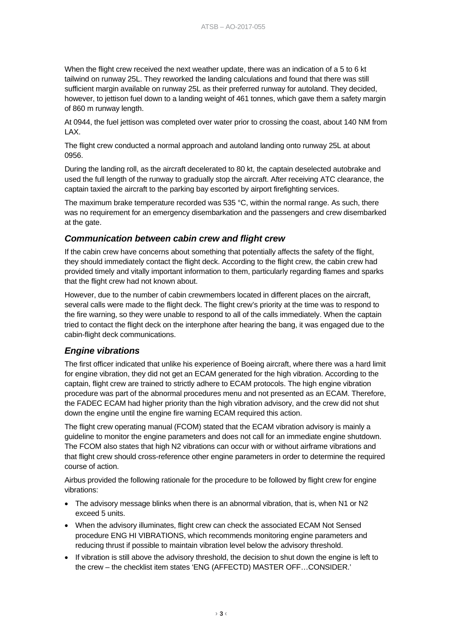When the flight crew received the next weather update, there was an indication of a 5 to 6 kt tailwind on runway 25L. They reworked the landing calculations and found that there was still sufficient margin available on runway 25L as their preferred runway for autoland. They decided, however, to jettison fuel down to a landing weight of 461 tonnes, which gave them a safety margin of 860 m runway length.

At 0944, the fuel jettison was completed over water prior to crossing the coast, about 140 NM from LAX.

The flight crew conducted a normal approach and autoland landing onto runway 25L at about 0956.

During the landing roll, as the aircraft decelerated to 80 kt, the captain deselected autobrake and used the full length of the runway to gradually stop the aircraft. After receiving ATC clearance, the captain taxied the aircraft to the parking bay escorted by airport firefighting services.

The maximum brake temperature recorded was 535 °C, within the normal range. As such, there was no requirement for an emergency disembarkation and the passengers and crew disembarked at the gate.

#### *Communication between cabin crew and flight crew*

If the cabin crew have concerns about something that potentially affects the safety of the flight, they should immediately contact the flight deck. According to the flight crew, the cabin crew had provided timely and vitally important information to them, particularly regarding flames and sparks that the flight crew had not known about.

However, due to the number of cabin crewmembers located in different places on the aircraft, several calls were made to the flight deck. The flight crew's priority at the time was to respond to the fire warning, so they were unable to respond to all of the calls immediately. When the captain tried to contact the flight deck on the interphone after hearing the bang, it was engaged due to the cabin-flight deck communications.

#### *Engine vibrations*

The first officer indicated that unlike his experience of Boeing aircraft, where there was a hard limit for engine vibration, they did not get an ECAM generated for the high vibration. According to the captain, flight crew are trained to strictly adhere to ECAM protocols. The high engine vibration procedure was part of the abnormal procedures menu and not presented as an ECAM. Therefore, the FADEC ECAM had higher priority than the high vibration advisory, and the crew did not shut down the engine until the engine fire warning ECAM required this action.

The flight crew operating manual (FCOM) stated that the ECAM vibration advisory is mainly a guideline to monitor the engine parameters and does not call for an immediate engine shutdown. The FCOM also states that high N2 vibrations can occur with or without airframe vibrations and that flight crew should cross-reference other engine parameters in order to determine the required course of action.

Airbus provided the following rationale for the procedure to be followed by flight crew for engine vibrations:

- The advisory message blinks when there is an abnormal vibration, that is, when N1 or N2 exceed 5 units.
- When the advisory illuminates, flight crew can check the associated ECAM Not Sensed procedure ENG HI VIBRATIONS, which recommends monitoring engine parameters and reducing thrust if possible to maintain vibration level below the advisory threshold.
- If vibration is still above the advisory threshold, the decision to shut down the engine is left to the crew – the checklist item states 'ENG (AFFECTD) MASTER OFF…CONSIDER.'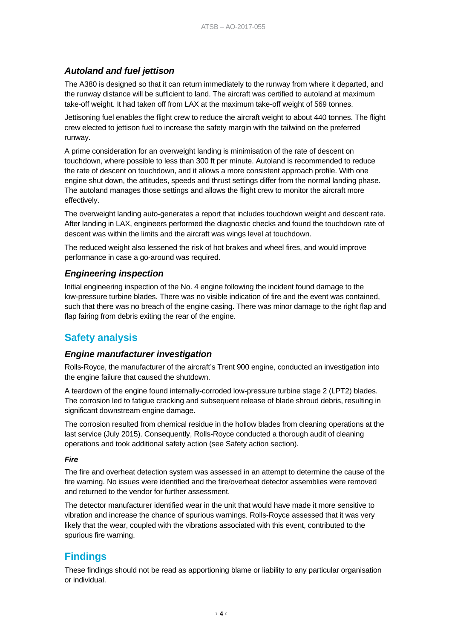## *Autoland and fuel jettison*

The A380 is designed so that it can return immediately to the runway from where it departed, and the runway distance will be sufficient to land. The aircraft was certified to autoland at maximum take-off weight. It had taken off from LAX at the maximum take-off weight of 569 tonnes.

Jettisoning fuel enables the flight crew to reduce the aircraft weight to about 440 tonnes. The flight crew elected to jettison fuel to increase the safety margin with the tailwind on the preferred runway.

A prime consideration for an overweight landing is minimisation of the rate of descent on touchdown, where possible to less than 300 ft per minute. Autoland is recommended to reduce the rate of descent on touchdown, and it allows a more consistent approach profile. With one engine shut down, the attitudes, speeds and thrust settings differ from the normal landing phase. The autoland manages those settings and allows the flight crew to monitor the aircraft more effectively.

The overweight landing auto-generates a report that includes touchdown weight and descent rate. After landing in LAX, engineers performed the diagnostic checks and found the touchdown rate of descent was within the limits and the aircraft was wings level at touchdown.

The reduced weight also lessened the risk of hot brakes and wheel fires, and would improve performance in case a go-around was required.

## *Engineering inspection*

Initial engineering inspection of the No. 4 engine following the incident found damage to the low-pressure turbine blades. There was no visible indication of fire and the event was contained, such that there was no breach of the engine casing. There was minor damage to the right flap and flap fairing from debris exiting the rear of the engine.

# **Safety analysis**

#### *Engine manufacturer investigation*

Rolls-Royce, the manufacturer of the aircraft's Trent 900 engine, conducted an investigation into the engine failure that caused the shutdown.

A teardown of the engine found internally-corroded low-pressure turbine stage 2 (LPT2) blades. The corrosion led to fatigue cracking and subsequent release of blade shroud debris, resulting in significant downstream engine damage.

The corrosion resulted from chemical residue in the hollow blades from cleaning operations at the last service (July 2015). Consequently, Rolls-Royce conducted a thorough audit of cleaning operations and took additional safety action (see Safety action section).

#### *Fire*

The fire and overheat detection system was assessed in an attempt to determine the cause of the fire warning. No issues were identified and the fire/overheat detector assemblies were removed and returned to the vendor for further assessment.

The detector manufacturer identified wear in the unit that would have made it more sensitive to vibration and increase the chance of spurious warnings. Rolls-Royce assessed that it was very likely that the wear, coupled with the vibrations associated with this event, contributed to the spurious fire warning.

## **Findings**

These findings should not be read as apportioning blame or liability to any particular organisation or individual.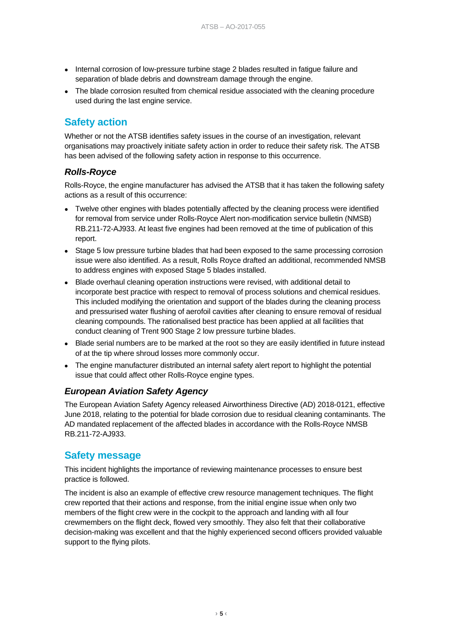- Internal corrosion of low-pressure turbine stage 2 blades resulted in fatigue failure and separation of blade debris and downstream damage through the engine.
- The blade corrosion resulted from chemical residue associated with the cleaning procedure used during the last engine service.

## **Safety action**

Whether or not the ATSB identifies safety issues in the course of an investigation, relevant organisations may proactively initiate safety action in order to reduce their safety risk. The ATSB has been advised of the following safety action in response to this occurrence.

## *Rolls-Royce*

Rolls-Royce, the engine manufacturer has advised the ATSB that it has taken the following safety actions as a result of this occurrence:

- Twelve other engines with blades potentially affected by the cleaning process were identified for removal from service under Rolls-Royce Alert non-modification service bulletin (NMSB) RB.211-72-AJ933. At least five engines had been removed at the time of publication of this report.
- Stage 5 low pressure turbine blades that had been exposed to the same processing corrosion issue were also identified. As a result, Rolls Royce drafted an additional, recommended NMSB to address engines with exposed Stage 5 blades installed.
- Blade overhaul cleaning operation instructions were revised, with additional detail to incorporate best practice with respect to removal of process solutions and chemical residues. This included modifying the orientation and support of the blades during the cleaning process and pressurised water flushing of aerofoil cavities after cleaning to ensure removal of residual cleaning compounds. The rationalised best practice has been applied at all facilities that conduct cleaning of Trent 900 Stage 2 low pressure turbine blades.
- Blade serial numbers are to be marked at the root so they are easily identified in future instead of at the tip where shroud losses more commonly occur.
- The engine manufacturer distributed an internal safety alert report to highlight the potential issue that could affect other Rolls-Royce engine types.

## *European Aviation Safety Agency*

The European Aviation Safety Agency released Airworthiness Directive (AD) 2018-0121, effective June 2018, relating to the potential for blade corrosion due to residual cleaning contaminants. The AD mandated replacement of the affected blades in accordance with the Rolls-Royce NMSB RB.211-72-AJ933.

## **Safety message**

This incident highlights the importance of reviewing maintenance processes to ensure best practice is followed.

The incident is also an example of effective crew resource management techniques. The flight crew reported that their actions and response, from the initial engine issue when only two members of the flight crew were in the cockpit to the approach and landing with all four crewmembers on the flight deck, flowed very smoothly. They also felt that their collaborative decision-making was excellent and that the highly experienced second officers provided valuable support to the flying pilots.